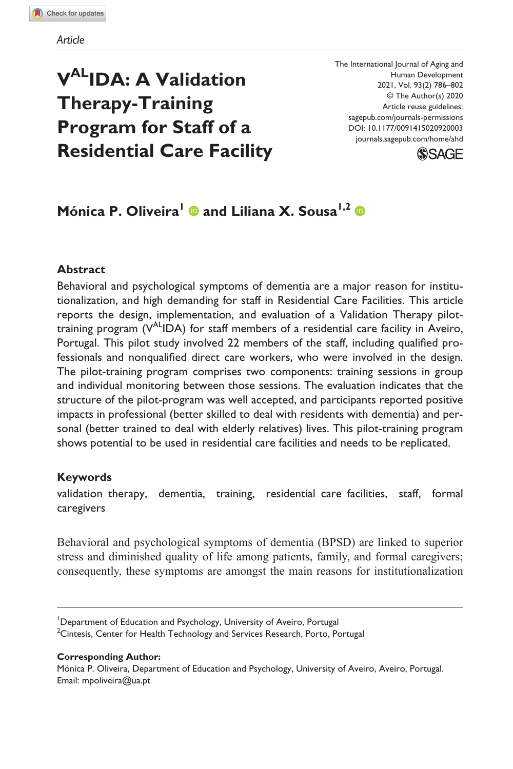# **VALIDA: A Validation Therapy-Training Program for Staff of a Residential Care Facility**

The International Journal of Aging and Human Development © The Author(s) 2020 Article reuse guidelines: sagepub.com/journals-permissions DOI: 10.1177/0091415020920003 [journals.sagepub.com/home/ahd](https://journals.sagepub.com/home/ahd) 2021, Vol. 93(2) 786–802



## **MónicaP. Oliveira<sup>1</sup> © and Liliana X. Sousa<sup>1,2</sup> ©**

### **Abstract**

Behavioral and psychological symptoms of dementia are a major reason for institutionalization, and high demanding for staff in Residential Care Facilities. This article reports the design, implementation, and evaluation of a Validation Therapy pilottraining program  $(V^{\text{AL}}\text{IDA})$  for staff members of a residential care facility in Aveiro, Portugal. This pilot study involved 22 members of the staff, including qualified professionals and nonqualified direct care workers, who were involved in the design. The pilot-training program comprises two components: training sessions in group and individual monitoring between those sessions. The evaluation indicates that the structure of the pilot-program was well accepted, and participants reported positive impacts in professional (better skilled to deal with residents with dementia) and personal (better trained to deal with elderly relatives) lives. This pilot-training program shows potential to be used in residential care facilities and needs to be replicated.

### **Keywords**

validation therapy, dementia, training, residential care facilities, staff, formal caregivers

Behavioral and psychological symptoms of dementia (BPSD) are linked to superior stress and diminished quality of life among patients, family, and formal caregivers; consequently, these symptoms are amongst the main reasons for institutionalization

#### **Corresponding Author:**

Mónica P. Oliveira, Department of Education and Psychology, University of Aveiro, Aveiro, Portugal. Email: [mpoliveira@ua.pt](mailto:mpoliveira@ua.pt)

<sup>&</sup>lt;sup>1</sup>Department of Education and Psychology, University of Aveiro, Portugal  $^2$ Cintesis, Center for Health Technology and Services Research, Porto, Portugal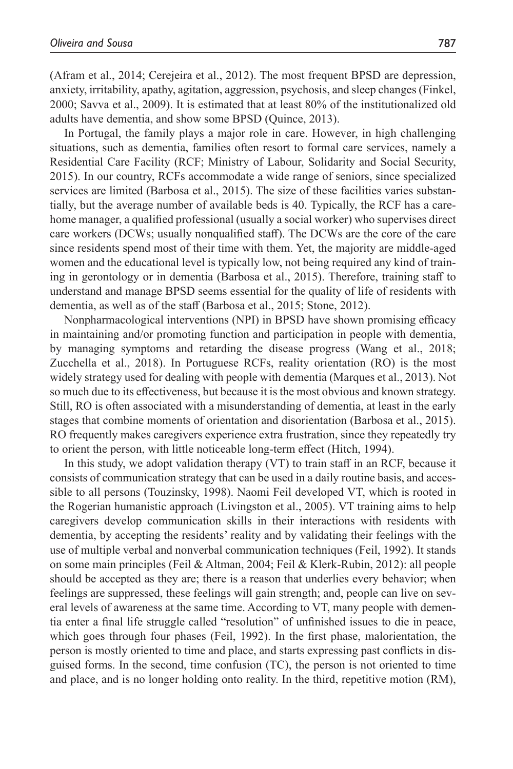[\(Afram et](#page-12-0) al., 2014; [Cerejeira et](#page-13-0) al., 2012). The most frequent BPSD are depression, anxiety, irritability, apathy, agitation, aggression, psychosis, and sleep changes ([Finkel,](#page-13-1) [2000](#page-13-1); Savva et [al., 2009\)](#page-14-0). It is estimated that at least 80% of the institutionalized old adults have dementia, and show some BPSD [\(Quince, 2013](#page-14-1)).

In Portugal, the family plays a major role in care. However, in high challenging situations, such as dementia, families often resort to formal care services, namely a Residential Care Facility (RCF; [Ministry of Labour, Solidarity and Social Security,](#page-14-2) [2015](#page-14-2)). In our country, RCFs accommodate a wide range of seniors, since specialized services are limited [\(Barbosa et](#page-12-1) al., 2015). The size of these facilities varies substantially, but the average number of available beds is 40. Typically, the RCF has a carehome manager, a qualified professional (usually a social worker) who supervises direct care workers (DCWs; usually nonqualified staff). The DCWs are the core of the care since residents spend most of their time with them. Yet, the majority are middle-aged women and the educational level is typically low, not being required any kind of training in gerontology or in dementia [\(Barbosa et](#page-12-1) al., 2015). Therefore, training staff to understand and manage BPSD seems essential for the quality of life of residents with dementia, as well as of the staff ([Barbosa et](#page-12-1) al., 2015; [Stone, 2012](#page-14-3)).

Nonpharmacological interventions (NPI) in BPSD have shown promising efficacy in maintaining and/or promoting function and participation in people with dementia, by managing symptoms and retarding the disease progress (Wang et [al., 2018](#page-15-0); [Zucchella et](#page-15-1) al., 2018). In Portuguese RCFs, reality orientation (RO) is the most widely strategy used for dealing with people with dementia ([Marques et](#page-14-4) al., 2013). Not so much due to its effectiveness, but because it is the most obvious and known strategy. Still, RO is often associated with a misunderstanding of dementia, at least in the early stages that combine moments of orientation and disorientation [\(Barbosa et](#page-12-1) al., 2015). RO frequently makes caregivers experience extra frustration, since they repeatedly try to orient the person, with little noticeable long-term effect ([Hitch, 1994](#page-13-2)).

In this study, we adopt validation therapy (VT) to train staff in an RCF, because it consists of communication strategy that can be used in a daily routine basis, and accessible to all persons ([Touzinsky, 1998\)](#page-15-2). Naomi Feil developed VT, which is rooted in the Rogerian humanistic approach ([Livingston et](#page-13-3) al., 2005). VT training aims to help caregivers develop communication skills in their interactions with residents with dementia, by accepting the residents' reality and by validating their feelings with the use of multiple verbal and nonverbal communication techniques [\(Feil, 1992\)](#page-13-4). It stands on some main principles [\(Feil & Altman, 2004;](#page-13-5) [Feil & Klerk-Rubin, 2012](#page-13-6)): all people should be accepted as they are; there is a reason that underlies every behavior; when feelings are suppressed, these feelings will gain strength; and, people can live on several levels of awareness at the same time. According to VT, many people with dementia enter a final life struggle called "resolution" of unfinished issues to die in peace, which goes through four phases ([Feil, 1992](#page-13-4)). In the first phase, malorientation, the person is mostly oriented to time and place, and starts expressing past conflicts in disguised forms. In the second, time confusion (TC), the person is not oriented to time and place, and is no longer holding onto reality. In the third, repetitive motion (RM),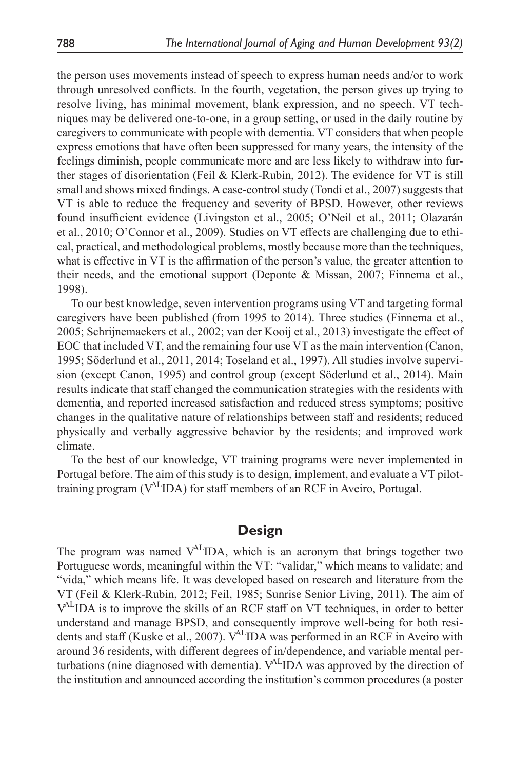the person uses movements instead of speech to express human needs and/or to work through unresolved conflicts. In the fourth, vegetation, the person gives up trying to resolve living, has minimal movement, blank expression, and no speech. VT techniques may be delivered one-to-one, in a group setting, or used in the daily routine by caregivers to communicate with people with dementia. VT considers that when people express emotions that have often been suppressed for many years, the intensity of the feelings diminish, people communicate more and are less likely to withdraw into further stages of disorientation ([Feil & Klerk-Rubin, 2012](#page-13-6)). The evidence for VT is still small and shows mixed findings. A case-control study (Tondi et [al., 2007\)](#page-15-3) suggests that VT is able to reduce the frequency and severity of BPSD. However, other reviews found insufficient evidence ([Livingston et](#page-13-3) al., 2005; [O'Neil et](#page-14-5) al., 2011; [Olazarán](#page-14-6) et [al., 2010](#page-14-6); [O'Connor et](#page-14-7) al., 2009). Studies on VT effects are challenging due to ethical, practical, and methodological problems, mostly because more than the techniques, what is effective in VT is the affirmation of the person's value, the greater attention to their needs, and the emotional support ([Deponte & Missan, 2007;](#page-13-7) [Finnema et](#page-13-8) al., [1998](#page-13-8)).

To our best knowledge, seven intervention programs using VT and targeting formal caregivers have been published (from 1995 to 2014). Three studies [\(Finnema et](#page-13-9) al., [2005](#page-13-9); [Schrijnemaekers et](#page-15-4) al., 2002; [van der Kooij et](#page-15-5) al., 2013) investigate the effect of EOC that included VT, and the remaining four use VT as the main intervention [\(Canon,](#page-12-2) [1995](#page-12-2); [Söderlund et](#page-14-8) al., 2011, [2014;](#page-15-6) [Toseland et](#page-15-7) al., 1997). All studies involve supervision (except [Canon, 1995\)](#page-12-2) and control group (except [Söderlund et](#page-15-6) al., 2014). Main results indicate that staff changed the communication strategies with the residents with dementia, and reported increased satisfaction and reduced stress symptoms; positive changes in the qualitative nature of relationships between staff and residents; reduced physically and verbally aggressive behavior by the residents; and improved work climate.

To the best of our knowledge, VT training programs were never implemented in Portugal before. The aim of this study is to design, implement, and evaluate a VT pilottraining program (VALIDA) for staff members of an RCF in Aveiro, Portugal.

### **Design**

The program was named  $V^{AL}$  IDA, which is an acronym that brings together two Portuguese words, meaningful within the VT: "validar," which means to validate; and "vida," which means life. It was developed based on research and literature from the VT [\(Feil & Klerk-Rubin, 2012;](#page-13-6) [Feil, 1985](#page-13-10); [Sunrise Senior Living, 2011](#page-15-8)). The aim of  $V^{\text{AL}}$  IDA is to improve the skills of an RCF staff on VT techniques, in order to better understand and manage BPSD, and consequently improve well-being for both residents and staff (Kuske et [al., 2007](#page-13-11)).  $V^{AL}$ IDA was performed in an RCF in Aveiro with around 36 residents, with different degrees of in/dependence, and variable mental perturbations (nine diagnosed with dementia).  $V^{AL}$ IDA was approved by the direction of the institution and announced according the institution's common procedures (a poster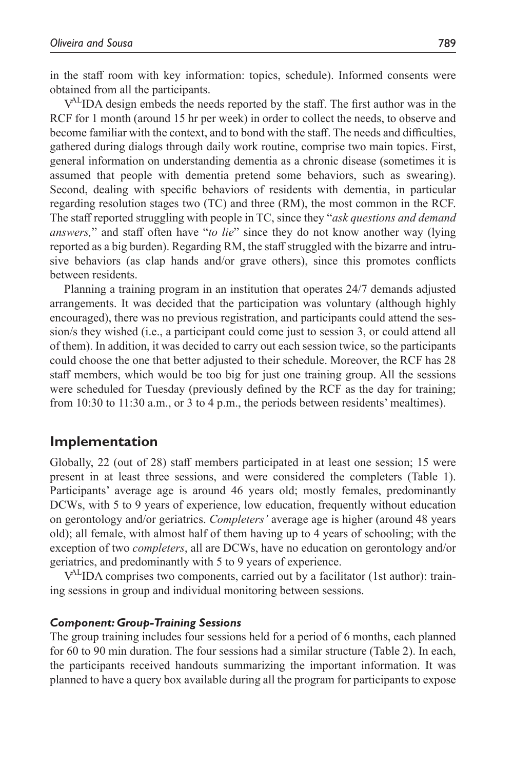in the staff room with key information: topics, schedule). Informed consents were obtained from all the participants.

V<sup>AL</sup>IDA design embeds the needs reported by the staff. The first author was in the RCF for 1 month (around 15 hr per week) in order to collect the needs, to observe and become familiar with the context, and to bond with the staff. The needs and difficulties, gathered during dialogs through daily work routine, comprise two main topics. First, general information on understanding dementia as a chronic disease (sometimes it is assumed that people with dementia pretend some behaviors, such as swearing). Second, dealing with specific behaviors of residents with dementia, in particular regarding resolution stages two (TC) and three (RM), the most common in the RCF. The staff reported struggling with people in TC, since they "*ask questions and demand answers,*" and staff often have "*to lie*" since they do not know another way (lying reported as a big burden). Regarding RM, the staff struggled with the bizarre and intrusive behaviors (as clap hands and/or grave others), since this promotes conflicts between residents.

Planning a training program in an institution that operates 24/7 demands adjusted arrangements. It was decided that the participation was voluntary (although highly encouraged), there was no previous registration, and participants could attend the session/s they wished (i.e., a participant could come just to session 3, or could attend all of them). In addition, it was decided to carry out each session twice, so the participants could choose the one that better adjusted to their schedule. Moreover, the RCF has 28 staff members, which would be too big for just one training group. All the sessions were scheduled for Tuesday (previously defined by the RCF as the day for training; from 10:30 to 11:30 a.m., or 3 to 4 p.m., the periods between residents' mealtimes).

### **Implementation**

Globally, 22 (out of 28) staff members participated in at least one session; 15 were present in at least three sessions, and were considered the completers ([Table](#page-4-0) 1). Participants' average age is around 46 years old; mostly females, predominantly DCWs, with 5 to 9 years of experience, low education, frequently without education on gerontology and/or geriatrics. *Completers'* average age is higher (around 48 years old); all female, with almost half of them having up to 4 years of schooling; with the exception of two *completers*, all are DCWs, have no education on gerontology and/or geriatrics, and predominantly with 5 to 9 years of experience.

VALIDA comprises two components, carried out by a facilitator (1st author): training sessions in group and individual monitoring between sessions.

#### *Component: Group-Training Sessions*

The group training includes four sessions held for a period of 6 months, each planned for 60 to 90 min duration. The four sessions had a similar structure ([Table](#page-4-1) 2). In each, the participants received handouts summarizing the important information. It was planned to have a query box available during all the program for participants to expose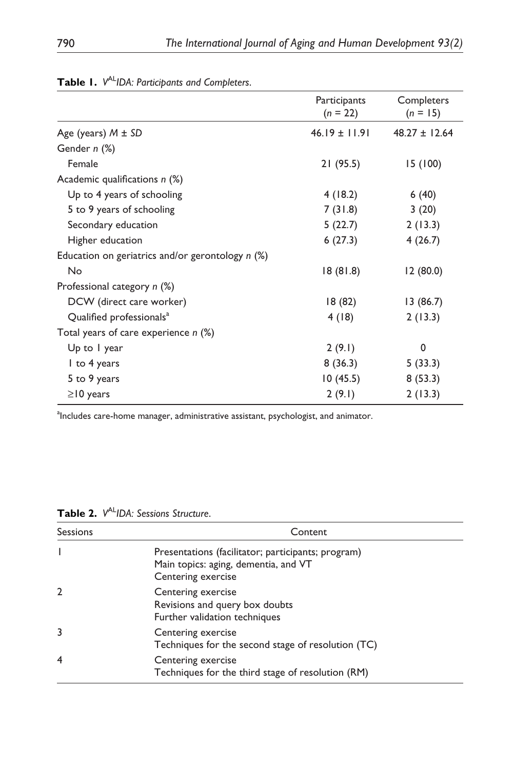| Participants<br>$(n = 22)$ | Completers<br>$(n = 15)$ |
|----------------------------|--------------------------|
| $46.19 \pm 11.91$          | $48.27 \pm 12.64$        |
|                            |                          |
| 21(95.5)                   | 15 (100)                 |
|                            |                          |
| 4(18.2)                    | 6(40)                    |
| 7(31.8)                    | 3(20)                    |
| 5(22.7)                    | 2(13.3)                  |
| 6(27.3)                    | 4(26.7)                  |
|                            |                          |
| 18(81.8)                   | 12(80.0)                 |
|                            |                          |
| 18 (82)                    | 13(86.7)                 |
| 4(18)                      | 2(13.3)                  |
|                            |                          |
| 2(9.1)                     | 0                        |
| 8(36.3)                    | 5(33.3)                  |
| 10 (45.5)                  | 8(53.3)                  |
| 2(9.1)                     | 2(13.3)                  |
|                            |                          |

<span id="page-4-0"></span>

|  | Table I. V <sup>AL</sup> IDA: Participants and Completers |  |
|--|-----------------------------------------------------------|--|
|--|-----------------------------------------------------------|--|

alncludes care-home manager, administrative assistant, psychologist, and animator.

<span id="page-4-1"></span>

| Table 2. V <sup>AL</sup> IDA: Sessions Structure. |
|---------------------------------------------------|
|---------------------------------------------------|

| Sessions     | Content                                                                                                          |
|--------------|------------------------------------------------------------------------------------------------------------------|
|              | Presentations (facilitator; participants; program)<br>Main topics: aging, dementia, and VT<br>Centering exercise |
| $\mathbf{2}$ | Centering exercise<br>Revisions and query box doubts<br>Further validation techniques                            |
| 3            | Centering exercise<br>Techniques for the second stage of resolution (TC)                                         |
| 4            | Centering exercise<br>Techniques for the third stage of resolution (RM)                                          |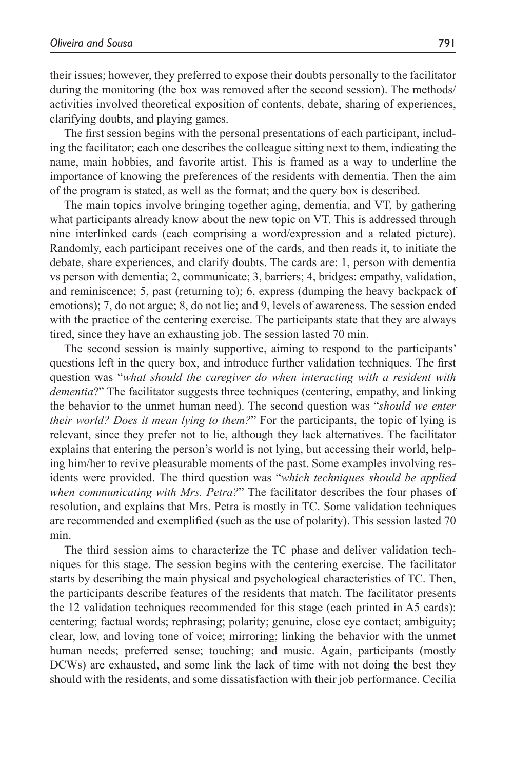their issues; however, they preferred to expose their doubts personally to the facilitator during the monitoring (the box was removed after the second session). The methods/ activities involved theoretical exposition of contents, debate, sharing of experiences, clarifying doubts, and playing games.

The first session begins with the personal presentations of each participant, including the facilitator; each one describes the colleague sitting next to them, indicating the name, main hobbies, and favorite artist. This is framed as a way to underline the importance of knowing the preferences of the residents with dementia. Then the aim of the program is stated, as well as the format; and the query box is described.

The main topics involve bringing together aging, dementia, and VT, by gathering what participants already know about the new topic on VT. This is addressed through nine interlinked cards (each comprising a word/expression and a related picture). Randomly, each participant receives one of the cards, and then reads it, to initiate the debate, share experiences, and clarify doubts. The cards are: 1, person with dementia vs person with dementia; 2, communicate; 3, barriers; 4, bridges: empathy, validation, and reminiscence; 5, past (returning to); 6, express (dumping the heavy backpack of emotions); 7, do not argue; 8, do not lie; and 9, levels of awareness. The session ended with the practice of the centering exercise. The participants state that they are always tired, since they have an exhausting job. The session lasted 70 min.

The second session is mainly supportive, aiming to respond to the participants' questions left in the query box, and introduce further validation techniques. The first question was "*what should the caregiver do when interacting with a resident with dementia*?" The facilitator suggests three techniques (centering, empathy, and linking the behavior to the unmet human need). The second question was "*should we enter their world? Does it mean lying to them?*" For the participants, the topic of lying is relevant, since they prefer not to lie, although they lack alternatives. The facilitator explains that entering the person's world is not lying, but accessing their world, helping him/her to revive pleasurable moments of the past. Some examples involving residents were provided. The third question was "*which techniques should be applied when communicating with Mrs. Petra?*" The facilitator describes the four phases of resolution, and explains that Mrs. Petra is mostly in TC. Some validation techniques are recommended and exemplified (such as the use of polarity). This session lasted 70 min.

The third session aims to characterize the TC phase and deliver validation techniques for this stage. The session begins with the centering exercise. The facilitator starts by describing the main physical and psychological characteristics of TC. Then, the participants describe features of the residents that match. The facilitator presents the 12 validation techniques recommended for this stage (each printed in A5 cards): centering; factual words; rephrasing; polarity; genuine, close eye contact; ambiguity; clear, low, and loving tone of voice; mirroring; linking the behavior with the unmet human needs; preferred sense; touching; and music. Again, participants (mostly DCWs) are exhausted, and some link the lack of time with not doing the best they should with the residents, and some dissatisfaction with their job performance. Cecília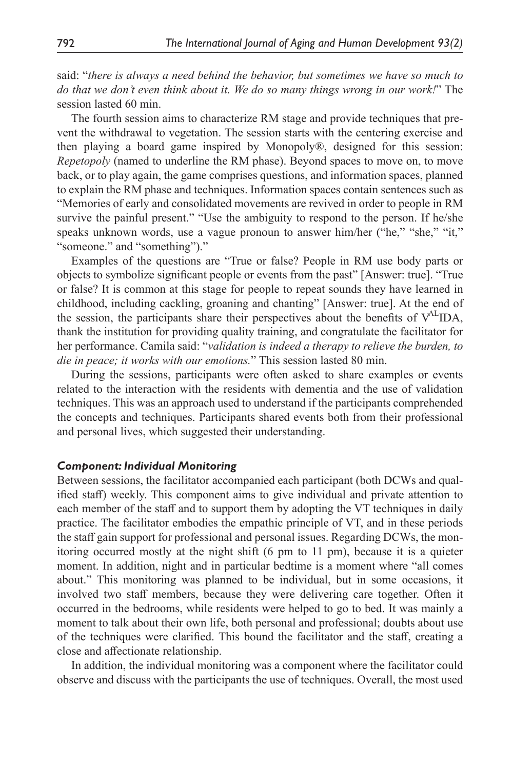said: "*there is always a need behind the behavior, but sometimes we have so much to do that we don't even think about it. We do so many things wrong in our work!*" The session lasted 60 min.

The fourth session aims to characterize RM stage and provide techniques that prevent the withdrawal to vegetation. The session starts with the centering exercise and then playing a board game inspired by Monopoly®, designed for this session: *Repetopoly* (named to underline the RM phase). Beyond spaces to move on, to move back, or to play again, the game comprises questions, and information spaces, planned to explain the RM phase and techniques. Information spaces contain sentences such as "Memories of early and consolidated movements are revived in order to people in RM survive the painful present." "Use the ambiguity to respond to the person. If he/she speaks unknown words, use a vague pronoun to answer him/her ("he," "she," "it," "someone." and "something")."

Examples of the questions are "True or false? People in RM use body parts or objects to symbolize significant people or events from the past" [Answer: true]. "True or false? It is common at this stage for people to repeat sounds they have learned in childhood, including cackling, groaning and chanting" [Answer: true]. At the end of the session, the participants share their perspectives about the benefits of VALIDA, thank the institution for providing quality training, and congratulate the facilitator for her performance. Camila said: "*validation is indeed a therapy to relieve the burden, to die in peace; it works with our emotions.*" This session lasted 80 min.

During the sessions, participants were often asked to share examples or events related to the interaction with the residents with dementia and the use of validation techniques. This was an approach used to understand if the participants comprehended the concepts and techniques. Participants shared events both from their professional and personal lives, which suggested their understanding.

#### *Component: Individual Monitoring*

Between sessions, the facilitator accompanied each participant (both DCWs and qualified staff) weekly. This component aims to give individual and private attention to each member of the staff and to support them by adopting the VT techniques in daily practice. The facilitator embodies the empathic principle of VT, and in these periods the staff gain support for professional and personal issues. Regarding DCWs, the monitoring occurred mostly at the night shift (6 pm to 11 pm), because it is a quieter moment. In addition, night and in particular bedtime is a moment where "all comes about." This monitoring was planned to be individual, but in some occasions, it involved two staff members, because they were delivering care together. Often it occurred in the bedrooms, while residents were helped to go to bed. It was mainly a moment to talk about their own life, both personal and professional; doubts about use of the techniques were clarified. This bound the facilitator and the staff, creating a close and affectionate relationship.

In addition, the individual monitoring was a component where the facilitator could observe and discuss with the participants the use of techniques. Overall, the most used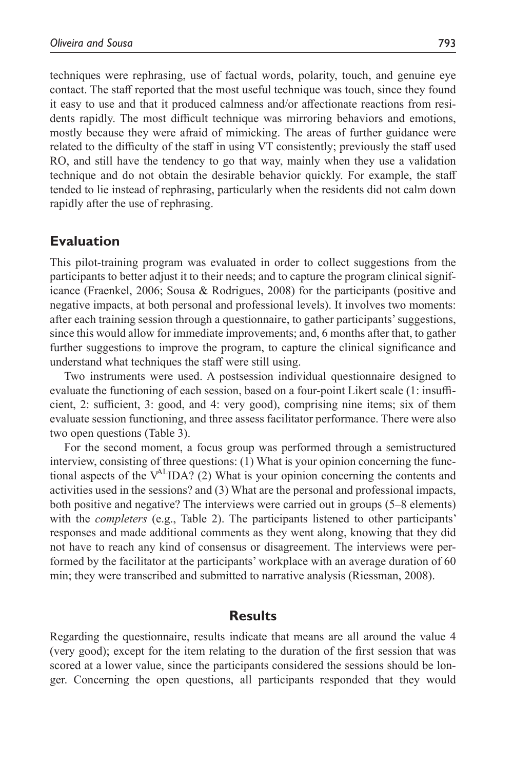techniques were rephrasing, use of factual words, polarity, touch, and genuine eye contact. The staff reported that the most useful technique was touch, since they found it easy to use and that it produced calmness and/or affectionate reactions from residents rapidly. The most difficult technique was mirroring behaviors and emotions, mostly because they were afraid of mimicking. The areas of further guidance were related to the difficulty of the staff in using VT consistently; previously the staff used RO, and still have the tendency to go that way, mainly when they use a validation technique and do not obtain the desirable behavior quickly. For example, the staff tended to lie instead of rephrasing, particularly when the residents did not calm down rapidly after the use of rephrasing.

### **Evaluation**

This pilot-training program was evaluated in order to collect suggestions from the participants to better adjust it to their needs; and to capture the program clinical significance ([Fraenkel, 2006;](#page-13-12) [Sousa & Rodrigues, 2008](#page-14-9)) for the participants (positive and negative impacts, at both personal and professional levels). It involves two moments: after each training session through a questionnaire, to gather participants' suggestions, since this would allow for immediate improvements; and, 6 months after that, to gather further suggestions to improve the program, to capture the clinical significance and understand what techniques the staff were still using.

Two instruments were used. A postsession individual questionnaire designed to evaluate the functioning of each session, based on a four-point Likert scale (1: insufficient, 2: sufficient, 3: good, and 4: very good), comprising nine items; six of them evaluate session functioning, and three assess facilitator performance. There were also two open questions [\(Table](#page-8-0) 3).

For the second moment, a focus group was performed through a semistructured interview, consisting of three questions: (1) What is your opinion concerning the functional aspects of the  $V^{AL}IDA$ ? (2) What is your opinion concerning the contents and activities used in the sessions? and (3) What are the personal and professional impacts, both positive and negative? The interviews were carried out in groups (5–8 elements) with the *completers* (e.g., [Table](#page-4-1) 2). The participants listened to other participants' responses and made additional comments as they went along, knowing that they did not have to reach any kind of consensus or disagreement. The interviews were performed by the facilitator at the participants' workplace with an average duration of 60 min; they were transcribed and submitted to narrative analysis ([Riessman, 2008\)](#page-14-10).

### **Results**

Regarding the questionnaire, results indicate that means are all around the value 4 (very good); except for the item relating to the duration of the first session that was scored at a lower value, since the participants considered the sessions should be longer. Concerning the open questions, all participants responded that they would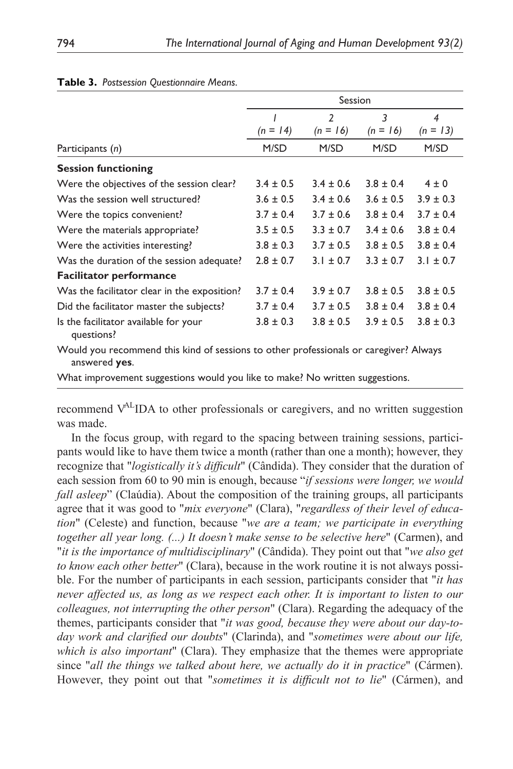|                                                                                                        | Session       |                          |               |                |
|--------------------------------------------------------------------------------------------------------|---------------|--------------------------|---------------|----------------|
|                                                                                                        |               | $\overline{\phantom{a}}$ | 3             | $\overline{4}$ |
|                                                                                                        | $(n = 14)$    | $(n = 16)$               | $(n = 16)$    | $(n = 13)$     |
| Participants (n)                                                                                       | M/SD          | M/SD                     | M/SD          | M/SD           |
| <b>Session functioning</b>                                                                             |               |                          |               |                |
| Were the objectives of the session clear?                                                              | $3.4 \pm 0.5$ | $3.4 \pm 0.6$            | $3.8 \pm 0.4$ | $4 \pm 0$      |
| Was the session well structured?                                                                       | $3.6 \pm 0.5$ | $3.4 \pm 0.6$            | $3.6 \pm 0.5$ | $3.9 \pm 0.3$  |
| Were the topics convenient?                                                                            | $3.7 \pm 0.4$ | $3.7 \pm 0.6$            | $3.8 \pm 0.4$ | $3.7 \pm 0.4$  |
| Were the materials appropriate?                                                                        | $3.5 \pm 0.5$ | $3.3 \pm 0.7$            | $3.4 \pm 0.6$ | $3.8 \pm 0.4$  |
| Were the activities interesting?                                                                       | $3.8 \pm 0.3$ | $3.7 \pm 0.5$            | $3.8 \pm 0.5$ | $3.8 \pm 0.4$  |
| Was the duration of the session adequate?                                                              | $2.8 \pm 0.7$ | $3.1 \pm 0.7$            | $3.3 \pm 0.7$ | $3.1 \pm 0.7$  |
| <b>Facilitator performance</b>                                                                         |               |                          |               |                |
| Was the facilitator clear in the exposition?                                                           | $3.7 \pm 0.4$ | $3.9 \pm 0.7$            | $3.8 \pm 0.5$ | $3.8 \pm 0.5$  |
| Did the facilitator master the subjects?                                                               | $3.7 \pm 0.4$ | $3.7 \pm 0.5$            | $3.8 \pm 0.4$ | $3.8 \pm 0.4$  |
| Is the facilitator available for your<br>questions?                                                    | $3.8 \pm 0.3$ | $3.8 \pm 0.5$            | $3.9 \pm 0.5$ | $3.8 \pm 0.3$  |
| Would you recommend this kind of sessions to other professionals or caregiver? Always<br>answered yes. |               |                          |               |                |

#### <span id="page-8-0"></span>**Table 3.** *Postsession Questionnaire Means*.

What improvement suggestions would you like to make? No written suggestions.

recommend V<sup>AL</sup>IDA to other professionals or caregivers, and no written suggestion was made.

In the focus group, with regard to the spacing between training sessions, participants would like to have them twice a month (rather than one a month); however, they recognize that "*logistically it's difficult*" (Cândida). They consider that the duration of each session from 60 to 90 min is enough, because "*if sessions were longer, we would fall asleep*" (Claúdia). About the composition of the training groups, all participants agree that it was good to "*mix everyone*" (Clara), "*regardless of their level of education*" (Celeste) and function, because "*we are a team; we participate in everything together all year long. (...) It doesn't make sense to be selective here*" (Carmen), and "*it is the importance of multidisciplinary*" (Cândida). They point out that "*we also get to know each other better*" (Clara), because in the work routine it is not always possible. For the number of participants in each session, participants consider that "*it has never affected us, as long as we respect each other. It is important to listen to our colleagues, not interrupting the other person*" (Clara). Regarding the adequacy of the themes, participants consider that "*it was good, because they were about our day-today work and clarified our doubts*" (Clarinda), and "*sometimes were about our life, which is also important*" (Clara). They emphasize that the themes were appropriate since "*all the things we talked about here, we actually do it in practice*" (Cármen). However, they point out that "*sometimes it is difficult not to lie*" (Cármen), and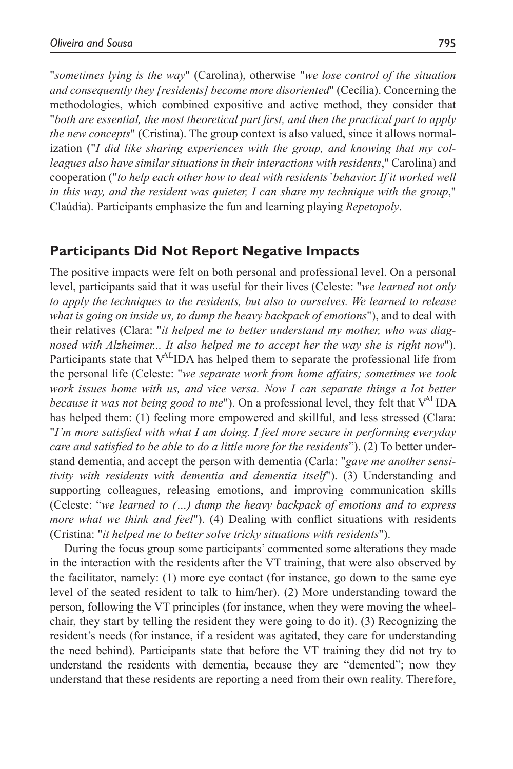"*sometimes lying is the way*" (Carolina), otherwise "*we lose control of the situation and consequently they [residents] become more disoriented*" (Cecília). Concerning the methodologies, which combined expositive and active method, they consider that "*both are essential, the most theoretical part first, and then the practical part to apply the new concepts*" (Cristina). The group context is also valued, since it allows normalization ("*I did like sharing experiences with the group, and knowing that my colleagues also have similar situations in their interactions with residents*," Carolina) and cooperation ("*to help each other how to deal with residents' behavior. If it worked well in this way, and the resident was quieter, I can share my technique with the group*," Claúdia). Participants emphasize the fun and learning playing *Repetopoly*.

### **Participants Did Not Report Negative Impacts**

The positive impacts were felt on both personal and professional level. On a personal level, participants said that it was useful for their lives (Celeste: "*we learned not only to apply the techniques to the residents, but also to ourselves. We learned to release what is going on inside us, to dump the heavy backpack of emotions*"), and to deal with their relatives (Clara: "*it helped me to better understand my mother, who was diagnosed with Alzheimer... It also helped me to accept her the way she is right now*"). Participants state that  $V^{AL}$ IDA has helped them to separate the professional life from the personal life (Celeste: "*we separate work from home affairs; sometimes we took work issues home with us, and vice versa. Now I can separate things a lot better because it was not being good to me*"). On a professional level, they felt that V<sup>AL</sup>IDA has helped them: (1) feeling more empowered and skillful, and less stressed (Clara: "*I'm more satisfied with what I am doing. I feel more secure in performing everyday care and satisfied to be able to do a little more for the residents*"). (2) To better understand dementia, and accept the person with dementia (Carla: "*gave me another sensitivity with residents with dementia and dementia itself*"). (3) Understanding and supporting colleagues, releasing emotions, and improving communication skills (Celeste: "*we learned to (…) dump the heavy backpack of emotions and to express more what we think and feel*"). (4) Dealing with conflict situations with residents (Cristina: "*it helped me to better solve tricky situations with residents*").

During the focus group some participants' commented some alterations they made in the interaction with the residents after the VT training, that were also observed by the facilitator, namely: (1) more eye contact (for instance, go down to the same eye level of the seated resident to talk to him/her). (2) More understanding toward the person, following the VT principles (for instance, when they were moving the wheelchair, they start by telling the resident they were going to do it). (3) Recognizing the resident's needs (for instance, if a resident was agitated, they care for understanding the need behind). Participants state that before the VT training they did not try to understand the residents with dementia, because they are "demented"; now they understand that these residents are reporting a need from their own reality. Therefore,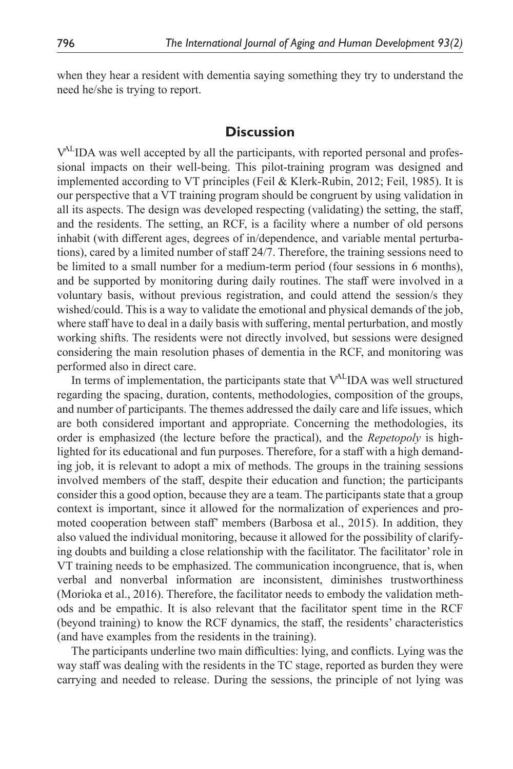when they hear a resident with dementia saying something they try to understand the need he/she is trying to report.

### **Discussion**

V<sup>AL</sup>IDA was well accepted by all the participants, with reported personal and professional impacts on their well-being. This pilot-training program was designed and implemented according to VT principles [\(Feil & Klerk-Rubin, 2012](#page-13-6); [Feil, 1985](#page-13-10)). It is our perspective that a VT training program should be congruent by using validation in all its aspects. The design was developed respecting (validating) the setting, the staff, and the residents. The setting, an RCF, is a facility where a number of old persons inhabit (with different ages, degrees of in/dependence, and variable mental perturbations), cared by a limited number of staff 24/7. Therefore, the training sessions need to be limited to a small number for a medium-term period (four sessions in 6 months), and be supported by monitoring during daily routines. The staff were involved in a voluntary basis, without previous registration, and could attend the session/s they wished/could. This is a way to validate the emotional and physical demands of the job, where staff have to deal in a daily basis with suffering, mental perturbation, and mostly working shifts. The residents were not directly involved, but sessions were designed considering the main resolution phases of dementia in the RCF, and monitoring was performed also in direct care.

In terms of implementation, the participants state that  $V^{AL}$ IDA was well structured regarding the spacing, duration, contents, methodologies, composition of the groups, and number of participants. The themes addressed the daily care and life issues, which are both considered important and appropriate. Concerning the methodologies, its order is emphasized (the lecture before the practical), and the *Repetopoly* is highlighted for its educational and fun purposes. Therefore, for a staff with a high demanding job, it is relevant to adopt a mix of methods. The groups in the training sessions involved members of the staff, despite their education and function; the participants consider this a good option, because they are a team. The participants state that a group context is important, since it allowed for the normalization of experiences and promoted cooperation between staff' members ([Barbosa et](#page-12-1) al., 2015). In addition, they also valued the individual monitoring, because it allowed for the possibility of clarifying doubts and building a close relationship with the facilitator. The facilitator' role in VT training needs to be emphasized. The communication incongruence, that is, when verbal and nonverbal information are inconsistent, diminishes trustworthiness [\(Morioka et](#page-14-11) al., 2016). Therefore, the facilitator needs to embody the validation methods and be empathic. It is also relevant that the facilitator spent time in the RCF (beyond training) to know the RCF dynamics, the staff, the residents' characteristics (and have examples from the residents in the training).

The participants underline two main difficulties: lying, and conflicts. Lying was the way staff was dealing with the residents in the TC stage, reported as burden they were carrying and needed to release. During the sessions, the principle of not lying was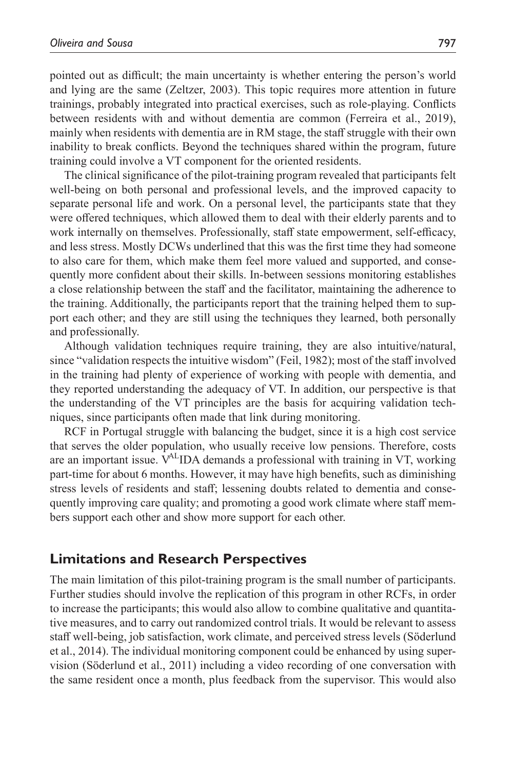pointed out as difficult; the main uncertainty is whether entering the person's world and lying are the same ([Zeltzer, 2003\)](#page-15-9). This topic requires more attention in future trainings, probably integrated into practical exercises, such as role-playing. Conflicts between residents with and without dementia are common [\(Ferreira et](#page-13-13) al., 2019), mainly when residents with dementia are in RM stage, the staff struggle with their own inability to break conflicts. Beyond the techniques shared within the program, future training could involve a VT component for the oriented residents.

The clinical significance of the pilot-training program revealed that participants felt well-being on both personal and professional levels, and the improved capacity to separate personal life and work. On a personal level, the participants state that they were offered techniques, which allowed them to deal with their elderly parents and to work internally on themselves. Professionally, staff state empowerment, self-efficacy, and less stress. Mostly DCWs underlined that this was the first time they had someone to also care for them, which make them feel more valued and supported, and consequently more confident about their skills. In-between sessions monitoring establishes a close relationship between the staff and the facilitator, maintaining the adherence to the training. Additionally, the participants report that the training helped them to support each other; and they are still using the techniques they learned, both personally and professionally.

Although validation techniques require training, they are also intuitive/natural, since "validation respects the intuitive wisdom" ([Feil, 1982](#page-13-14)); most of the staff involved in the training had plenty of experience of working with people with dementia, and they reported understanding the adequacy of VT. In addition, our perspective is that the understanding of the VT principles are the basis for acquiring validation techniques, since participants often made that link during monitoring.

RCF in Portugal struggle with balancing the budget, since it is a high cost service that serves the older population, who usually receive low pensions. Therefore, costs are an important issue.  $V^{AL}$ IDA demands a professional with training in VT, working part-time for about 6 months. However, it may have high benefits, such as diminishing stress levels of residents and staff; lessening doubts related to dementia and consequently improving care quality; and promoting a good work climate where staff members support each other and show more support for each other.

### **Limitations and Research Perspectives**

The main limitation of this pilot-training program is the small number of participants. Further studies should involve the replication of this program in other RCFs, in order to increase the participants; this would also allow to combine qualitative and quantitative measures, and to carry out randomized control trials. It would be relevant to assess staff well-being, job satisfaction, work climate, and perceived stress levels ([Söderlund](#page-15-6) et [al., 2014\)](#page-15-6). The individual monitoring component could be enhanced by using supervision ([Söderlund et](#page-14-8) al., 2011) including a video recording of one conversation with the same resident once a month, plus feedback from the supervisor. This would also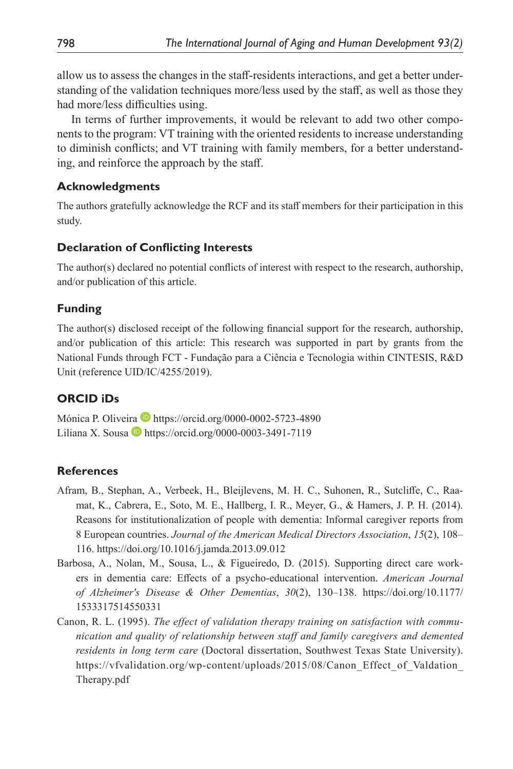allow us to assess the changes in the staff-residents interactions, and get a better understanding of the validation techniques more/less used by the staff, as well as those they had more/less difficulties using.

In terms of further improvements, it would be relevant to add two other components to the program: VT training with the oriented residents to increase understanding to diminish conflicts; and VT training with family members, for a better understanding, and reinforce the approach by the staff.

### **Acknowledgments**

The authors gratefully acknowledge the RCF and its staff members for their participation in this study.

### **Declaration of Conflicting Interests**

The author(s) declared no potential conflicts of interest with respect to the research, authorship, and/or publication of this article.

### **Funding**

The author(s) disclosed receipt of the following financial support for the research, authorship, and/or publication of this article: This research was supported in part by grants from the National Funds through FCT - Fundação para a Ciência e Tecnologia within CINTESIS, R&D Unit (reference UID/IC/4255/2019).

### **ORCID iDs**

Mónica P. Oliveira  $\blacksquare$ <https://orcid.org/0000-0002-5723-4890> Liliana X. Sousa  $\blacksquare$  <https://orcid.org/0000-0003-3491-7119>

### **References**

- <span id="page-12-0"></span>Afram, B., Stephan, A., Verbeek, H., Bleijlevens, M. H. C., Suhonen, R., Sutcliffe, C., Raamat, K., Cabrera, E., Soto, M. E., Hallberg, I. R., Meyer, G., & Hamers, J. P. H. (2014). Reasons for institutionalization of people with dementia: Informal caregiver reports from 8 European countries. *Journal of the American Medical Directors Association*, *15*(2), 108– 116. <https://doi.org/10.1016/j.jamda.2013.09.012>
- <span id="page-12-1"></span>Barbosa, A., Nolan, M., Sousa, L., & Figueiredo, D. (2015). Supporting direct care workers in dementia care: Effects of a psycho-educational intervention. *American Journal of Alzheimer's Disease & Other Dementias*, *30*(2), 130–138. [https://doi.org/10.1177/](https://doi.org/10.1177/1533317514550331) [1533317514550331](https://doi.org/10.1177/1533317514550331)
- <span id="page-12-2"></span>Canon, R. L. (1995). *The effect of validation therapy training on satisfaction with communication and quality of relationship between staff and family caregivers and demented residents in long term care* (Doctoral dissertation, Southwest Texas State University). [https://vfvalidation.org/wp-content/uploads/2015/08/Canon\\_Effect\\_of\\_Valdation\\_](https://vfvalidation.org/wp-content/uploads/2015/08/Canon_Effect_of_Valdation_Therapy.pdf) [Therapy.pdf](https://vfvalidation.org/wp-content/uploads/2015/08/Canon_Effect_of_Valdation_Therapy.pdf)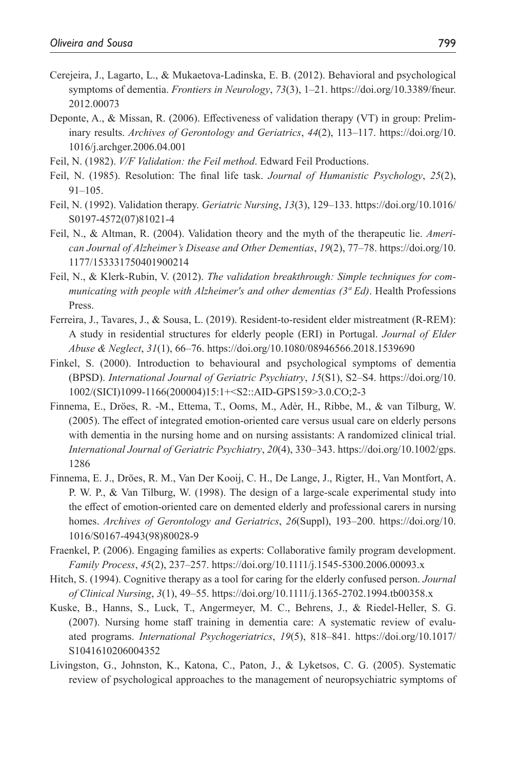- <span id="page-13-0"></span>Cerejeira, J., Lagarto, L., & Mukaetova-Ladinska, E. B. (2012). Behavioral and psychological symptoms of dementia. *Frontiers in Neurology*, *73*(3), 1–21. [https://doi.org/10.3389/fneur.](https://doi.org/10.3389/fneur.2012.00073) [2012.00073](https://doi.org/10.3389/fneur.2012.00073)
- <span id="page-13-7"></span>Deponte, A., & Missan, R. (2006). Effectiveness of validation therapy (VT) in group: Preliminary results. *Archives of Gerontology and Geriatrics*, *44*(2), 113–117. [https://doi.org/10.](https://doi.org/10.1016/j.archger.2006.04.001) [1016/j.archger.2006.04.001](https://doi.org/10.1016/j.archger.2006.04.001)
- <span id="page-13-14"></span>Feil, N. (1982). *V/F Validation: the Feil method*. Edward Feil Productions.
- <span id="page-13-10"></span>Feil, N. (1985). Resolution: The final life task. *Journal of Humanistic Psychology*, *25*(2), 91–105.
- <span id="page-13-4"></span>Feil, N. (1992). Validation therapy. *Geriatric Nursing*, *13*(3), 129–133. [https://doi.org/10.1016/](https://doi.org/10.1016/S0197-4572(07)81021-4) [S0197-4572\(07\)81021-4](https://doi.org/10.1016/S0197-4572(07)81021-4)
- <span id="page-13-5"></span>Feil, N., & Altman, R. (2004). Validation theory and the myth of the therapeutic lie. *American Journal of Alzheimer's Disease and Other Dementias*, *19*(2), 77–78. [https://doi.org/10.](https://doi.org/10.1177/153331750401900214) [1177/153331750401900214](https://doi.org/10.1177/153331750401900214)
- <span id="page-13-6"></span>Feil, N., & Klerk-Rubin, V. (2012). *The validation breakthrough: Simple techniques for communicating with people with Alzheimer's and other dementias (3ª Ed)*. Health Professions Press.
- <span id="page-13-13"></span>Ferreira, J., Tavares, J., & Sousa, L. (2019). Resident-to-resident elder mistreatment (R-REM): A study in residential structures for elderly people (ERI) in Portugal. *Journal of Elder Abuse & Neglect*, *31*(1), 66–76.<https://doi.org/10.1080/08946566.2018.1539690>
- <span id="page-13-1"></span>Finkel, S. (2000). Introduction to behavioural and psychological symptoms of dementia (BPSD). *International Journal of Geriatric Psychiatry*, *15*(S1), S2–S4. [https://doi.org/10.](https://doi.org/10.1002/(SICI)1099-1166(200004)15:1+<S2::AID-GPS159>3.0.CO;2-3) [1002/\(SICI\)1099-1166\(200004\)15:1+<S2::AID-GPS159>3.0.CO;2-3](https://doi.org/10.1002/(SICI)1099-1166(200004)15:1+<S2::AID-GPS159>3.0.CO;2-3)
- <span id="page-13-9"></span>Finnema, E., Dröes, R. -M., Ettema, T., Ooms, M., Adèr, H., Ribbe, M., & van Tilburg, W. (2005). The effect of integrated emotion-oriented care versus usual care on elderly persons with dementia in the nursing home and on nursing assistants: A randomized clinical trial. *International Journal of Geriatric Psychiatry*, *20*(4), 330–343. [https://doi.org/10.1002/gps.](https://doi.org/10.1002/gps.1286) [1286](https://doi.org/10.1002/gps.1286)
- <span id="page-13-8"></span>Finnema, E. J., Dröes, R. M., Van Der Kooij, C. H., De Lange, J., Rigter, H., Van Montfort, A. P. W. P., & Van Tilburg, W. (1998). The design of a large-scale experimental study into the effect of emotion-oriented care on demented elderly and professional carers in nursing homes. *Archives of Gerontology and Geriatrics*, *26*(Suppl), 193–200. [https://doi.org/10.](https://doi.org/10.1016/S0167-4943(98)80028-9) [1016/S0167-4943\(98\)80028-9](https://doi.org/10.1016/S0167-4943(98)80028-9)
- <span id="page-13-12"></span>Fraenkel, P. (2006). Engaging families as experts: Collaborative family program development. *Family Process*, *45*(2), 237–257.<https://doi.org/10.1111/j.1545-5300.2006.00093.x>
- <span id="page-13-2"></span>Hitch, S. (1994). Cognitive therapy as a tool for caring for the elderly confused person. *Journal of Clinical Nursing*, *3*(1), 49–55.<https://doi.org/10.1111/j.1365-2702.1994.tb00358.x>
- <span id="page-13-11"></span>Kuske, B., Hanns, S., Luck, T., Angermeyer, M. C., Behrens, J., & Riedel-Heller, S. G. (2007). Nursing home staff training in dementia care: A systematic review of evaluated programs. *International Psychogeriatrics*, *19*(5), 818–841. [https://doi.org/10.1017/](https://doi.org/10.1017/S1041610206004352) [S1041610206004352](https://doi.org/10.1017/S1041610206004352)
- <span id="page-13-3"></span>Livingston, G., Johnston, K., Katona, C., Paton, J., & Lyketsos, C. G. (2005). Systematic review of psychological approaches to the management of neuropsychiatric symptoms of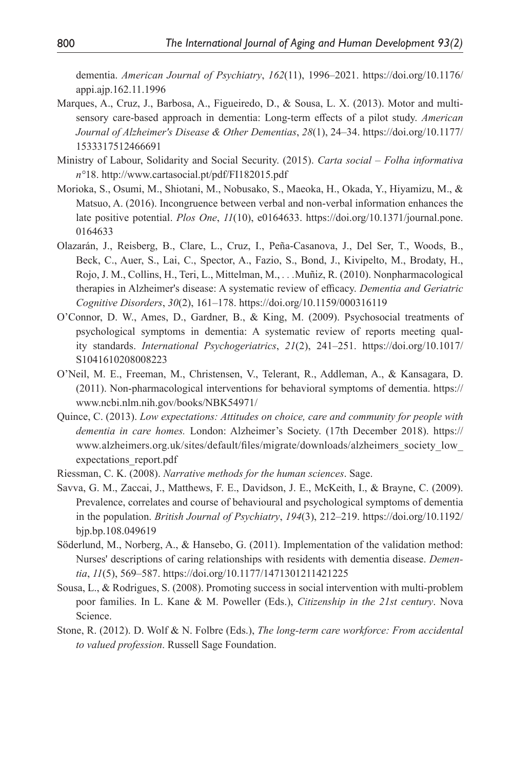dementia. *American Journal of Psychiatry*, *162*(11), 1996–2021. [https://doi.org/10.1176/](https://doi.org/10.1176/appi.ajp.162.11.1996) [appi.ajp.162.11.1996](https://doi.org/10.1176/appi.ajp.162.11.1996)

- <span id="page-14-4"></span>Marques, A., Cruz, J., Barbosa, A., Figueiredo, D., & Sousa, L. X. (2013). Motor and multisensory care-based approach in dementia: Long-term effects of a pilot study. *American Journal of Alzheimer's Disease & Other Dementias*, *28*(1), 24–34. [https://doi.org/10.1177/](https://doi.org/10.1177/1533317512466691) [1533317512466691](https://doi.org/10.1177/1533317512466691)
- <span id="page-14-2"></span>Ministry of Labour, Solidarity and Social Security. (2015). *Carta social – Folha informativa n°*18. <http://www.cartasocial.pt/pdf/FI182015.pdf>
- <span id="page-14-11"></span>Morioka, S., Osumi, M., Shiotani, M., Nobusako, S., Maeoka, H., Okada, Y., Hiyamizu, M., & Matsuo, A. (2016). Incongruence between verbal and non-verbal information enhances the late positive potential. *Plos One*, *11*(10), e0164633. [https://doi.org/10.1371/journal.pone.](https://doi.org/10.1371/journal.pone.0164633) [0164633](https://doi.org/10.1371/journal.pone.0164633)
- <span id="page-14-6"></span>Olazarán, J., Reisberg, B., Clare, L., Cruz, I., Peña-Casanova, J., Del Ser, T., Woods, B., Beck, C., Auer, S., Lai, C., Spector, A., Fazio, S., Bond, J., Kivipelto, M., Brodaty, H., Rojo, J. M., Collins, H., Teri, L., Mittelman, M., *. . .*Muñiz, R. (2010). Nonpharmacological therapies in Alzheimer's disease: A systematic review of efficacy. *Dementia and Geriatric Cognitive Disorders*, *30*(2), 161–178.<https://doi.org/10.1159/000316119>
- <span id="page-14-7"></span>O'Connor, D. W., Ames, D., Gardner, B., & King, M. (2009). Psychosocial treatments of psychological symptoms in dementia: A systematic review of reports meeting quality standards. *International Psychogeriatrics*, *21*(2), 241–251. [https://doi.org/10.1017/](https://doi.org/10.1017/S1041610208008223) [S1041610208008223](https://doi.org/10.1017/S1041610208008223)
- <span id="page-14-5"></span>O'Neil, M. E., Freeman, M., Christensen, V., Telerant, R., Addleman, A., & Kansagara, D. (2011). Non-pharmacological interventions for behavioral symptoms of dementia. [https://](https://www.ncbi.nlm.nih.gov/books/NBK54971/) [www.ncbi.nlm.nih.gov/books/NBK54971/](https://www.ncbi.nlm.nih.gov/books/NBK54971/)
- <span id="page-14-1"></span>Quince, C. (2013). *Low expectations: Attitudes on choice, care and community for people with dementia in care homes.* London: Alzheimer's Society. (17th December 2018). [https://](https://www.alzheimers.org.uk/sites/default/files/migrate/downloads/alzheimers_society_low_expectations_report.pdf) [www.alzheimers.org.uk/sites/default/files/migrate/downloads/alzheimers\\_society\\_low\\_](https://www.alzheimers.org.uk/sites/default/files/migrate/downloads/alzheimers_society_low_expectations_report.pdf) [expectations\\_report.pdf](https://www.alzheimers.org.uk/sites/default/files/migrate/downloads/alzheimers_society_low_expectations_report.pdf)
- <span id="page-14-10"></span>Riessman, C. K. (2008). *Narrative methods for the human sciences*. Sage.
- <span id="page-14-0"></span>Savva, G. M., Zaccai, J., Matthews, F. E., Davidson, J. E., McKeith, I., & Brayne, C. (2009). Prevalence, correlates and course of behavioural and psychological symptoms of dementia in the population. *British Journal of Psychiatry*, *194*(3), 212–219. [https://doi.org/10.1192/](https://doi.org/10.1192/bjp.bp.108.049619) [bjp.bp.108.049619](https://doi.org/10.1192/bjp.bp.108.049619)
- <span id="page-14-8"></span>Söderlund, M., Norberg, A., & Hansebo, G. (2011). Implementation of the validation method: Nurses' descriptions of caring relationships with residents with dementia disease. *Dementia*, *11*(5), 569–587.<https://doi.org/10.1177/1471301211421225>
- <span id="page-14-9"></span>Sousa, L., & Rodrigues, S. (2008). Promoting success in social intervention with multi-problem poor families. In L. Kane & M. Poweller (Eds.), *Citizenship in the 21st century*. Nova Science.
- <span id="page-14-3"></span>Stone, R. (2012). D. Wolf & N. Folbre (Eds.), *The long-term care workforce: From accidental to valued profession*. Russell Sage Foundation.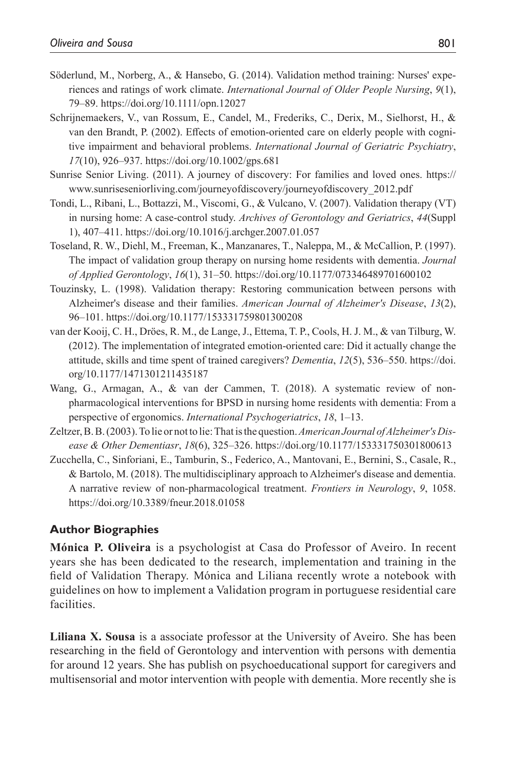- <span id="page-15-6"></span>Söderlund, M., Norberg, A., & Hansebo, G. (2014). Validation method training: Nurses' experiences and ratings of work climate. *International Journal of Older People Nursing*, *9*(1), 79–89. <https://doi.org/10.1111/opn.12027>
- <span id="page-15-4"></span>Schrijnemaekers, V., van Rossum, E., Candel, M., Frederiks, C., Derix, M., Sielhorst, H., & van den Brandt, P. (2002). Effects of emotion-oriented care on elderly people with cognitive impairment and behavioral problems. *International Journal of Geriatric Psychiatry*, *17*(10), 926–937.<https://doi.org/10.1002/gps.681>
- <span id="page-15-8"></span>Sunrise Senior Living. (2011). A journey of discovery: For families and loved ones. [https://](https://www.sunriseseniorliving.com/journeyofdiscovery/journeyofdiscovery_2012.pdf) [www.sunriseseniorliving.com/journeyofdiscovery/journeyofdiscovery\\_2012.pdf](https://www.sunriseseniorliving.com/journeyofdiscovery/journeyofdiscovery_2012.pdf)
- <span id="page-15-3"></span>Tondi, L., Ribani, L., Bottazzi, M., Viscomi, G., & Vulcano, V. (2007). Validation therapy (VT) in nursing home: A case-control study. *Archives of Gerontology and Geriatrics*, *44*(Suppl 1), 407–411. <https://doi.org/10.1016/j.archger.2007.01.057>
- <span id="page-15-7"></span>Toseland, R. W., Diehl, M., Freeman, K., Manzanares, T., Naleppa, M., & McCallion, P. (1997). The impact of validation group therapy on nursing home residents with dementia. *Journal of Applied Gerontology*, *16*(1), 31–50. <https://doi.org/10.1177/073346489701600102>
- <span id="page-15-2"></span>Touzinsky, L. (1998). Validation therapy: Restoring communication between persons with Alzheimer's disease and their families. *American Journal of Alzheimer's Disease*, *13*(2), 96–101.<https://doi.org/10.1177/153331759801300208>
- <span id="page-15-5"></span>van der Kooij, C. H., Dröes, R. M., de Lange, J., Ettema, T. P., Cools, H. J. M., & van Tilburg, W. (2012). The implementation of integrated emotion-oriented care: Did it actually change the attitude, skills and time spent of trained caregivers? *Dementia*, *12*(5), 536–550. [https://doi.](https://doi.org/10.1177/1471301211435187) [org/10.1177/1471301211435187](https://doi.org/10.1177/1471301211435187)
- <span id="page-15-0"></span>Wang, G., Armagan, A., & van der Cammen, T. (2018). A systematic review of nonpharmacological interventions for BPSD in nursing home residents with dementia: From a perspective of ergonomics. *International Psychogeriatrics*, *18*, 1–13.
- <span id="page-15-9"></span>Zeltzer, B. B. (2003). To lie or not to lie: That is the question. *American Journal of Alzheimer's Disease & Other Dementiasr*, *18*(6), 325–326.<https://doi.org/10.1177/153331750301800613>
- <span id="page-15-1"></span>Zucchella, C., Sinforiani, E., Tamburin, S., Federico, A., Mantovani, E., Bernini, S., Casale, R., & Bartolo, M. (2018). The multidisciplinary approach to Alzheimer's disease and dementia. A narrative review of non-pharmacological treatment. *Frontiers in Neurology*, *9*, 1058. <https://doi.org/10.3389/fneur.2018.01058>

### **Author Biographies**

**Mónica P. Oliveira** is a psychologist at Casa do Professor of Aveiro. In recent years she has been dedicated to the research, implementation and training in the field of Validation Therapy. Mónica and Liliana recently wrote a notebook with guidelines on how to implement a Validation program in portuguese residential care facilities.

**Liliana X. Sousa** is a associate professor at the University of Aveiro. She has been researching in the field of Gerontology and intervention with persons with dementia for around 12 years. She has publish on psychoeducational support for caregivers and multisensorial and motor intervention with people with dementia. More recently she is